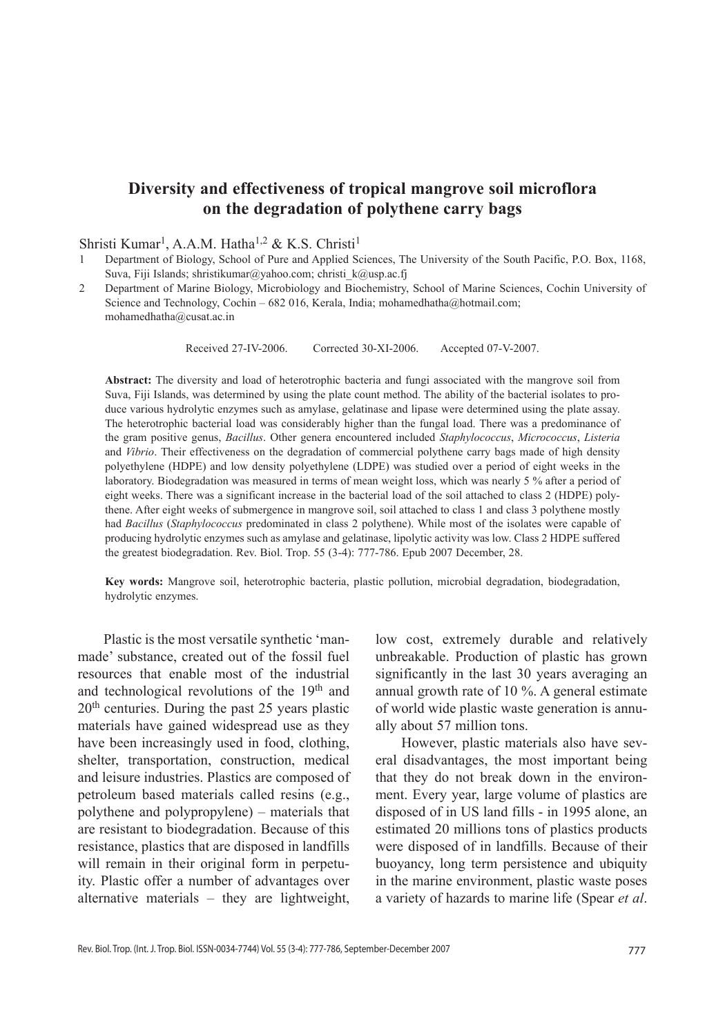# **Diversity and effectiveness of tropical mangrove soil microflora on the degradation of polythene carry bags**

# Shristi Kumar<sup>1</sup>, A.A.M. Hatha<sup>1,2</sup> & K.S. Christi<sup>1</sup>

- Department of Biology, School of Pure and Applied Sciences, The University of the South Pacific, P.O. Box, 1168, Suva, Fiji Islands; shristikumar@yahoo.com; christi\_k@usp.ac.fj
- 2 Department of Marine Biology, Microbiology and Biochemistry, School of Marine Sciences, Cochin University of Science and Technology, Cochin – 682 016, Kerala, India; mohamedhatha@hotmail.com; mohamedhatha@cusat.ac.in

Received 27-iv-2006. Corrected 30-Xi-2006. Accepted 07-v-2007.

**Abstract:** The diversity and load of heterotrophic bacteria and fungi associated with the mangrove soil from Suva, Fiji Islands, was determined by using the plate count method. The ability of the bacterial isolates to produce various hydrolytic enzymes such as amylase, gelatinase and lipase were determined using the plate assay. The heterotrophic bacterial load was considerably higher than the fungal load. There was a predominance of the gram positive genus, *Bacillus*. Other genera encountered included *Staphylococcus*, *Micrococcus*, *Listeria* and *Vibrio*. Their effectiveness on the degradation of commercial polythene carry bags made of high density polyethylene (HDPE) and low density polyethylene (LDPE) was studied over a period of eight weeks in the laboratory. Biodegradation was measured in terms of mean weight loss, which was nearly 5 % after a period of eight weeks. There was a significant increase in the bacterial load of the soil attached to class 2 (HDPE) polythene. After eight weeks of submergence in mangrove soil, soil attached to class 1 and class 3 polythene mostly had *Bacillus* (*Staphylococcus* predominated in class 2 polythene). While most of the isolates were capable of producing hydrolytic enzymes such as amylase and gelatinase, lipolytic activity was low. Class 2 HDPE suffered the greatest biodegradation. Rev. Biol. Trop. 55 (3-4): 777-786. Epub 2007 December, 28.

**Key words:** Mangrove soil, heterotrophic bacteria, plastic pollution, microbial degradation, biodegradation, hydrolytic enzymes.

Plastic is the most versatile synthetic 'manmade' substance, created out of the fossil fuel resources that enable most of the industrial and technological revolutions of the 19<sup>th</sup> and 20th centuries. During the past 25 years plastic materials have gained widespread use as they have been increasingly used in food, clothing, shelter, transportation, construction, medical and leisure industries. Plastics are composed of petroleum based materials called resins (e.g., polythene and polypropylene) – materials that are resistant to biodegradation. Because of this resistance, plastics that are disposed in landfills will remain in their original form in perpetuity. Plastic offer a number of advantages over alternative materials – they are lightweight,

low cost, extremely durable and relatively unbreakable. Production of plastic has grown significantly in the last 30 years averaging an annual growth rate of 10 %. A general estimate of world wide plastic waste generation is annually about 57 million tons.

However, plastic materials also have several disadvantages, the most important being that they do not break down in the environment. Every year, large volume of plastics are disposed of in US land fills - in 1995 alone, an estimated 20 millions tons of plastics products were disposed of in landfills. Because of their buoyancy, long term persistence and ubiquity in the marine environment, plastic waste poses a variety of hazards to marine life (Spear *et al*.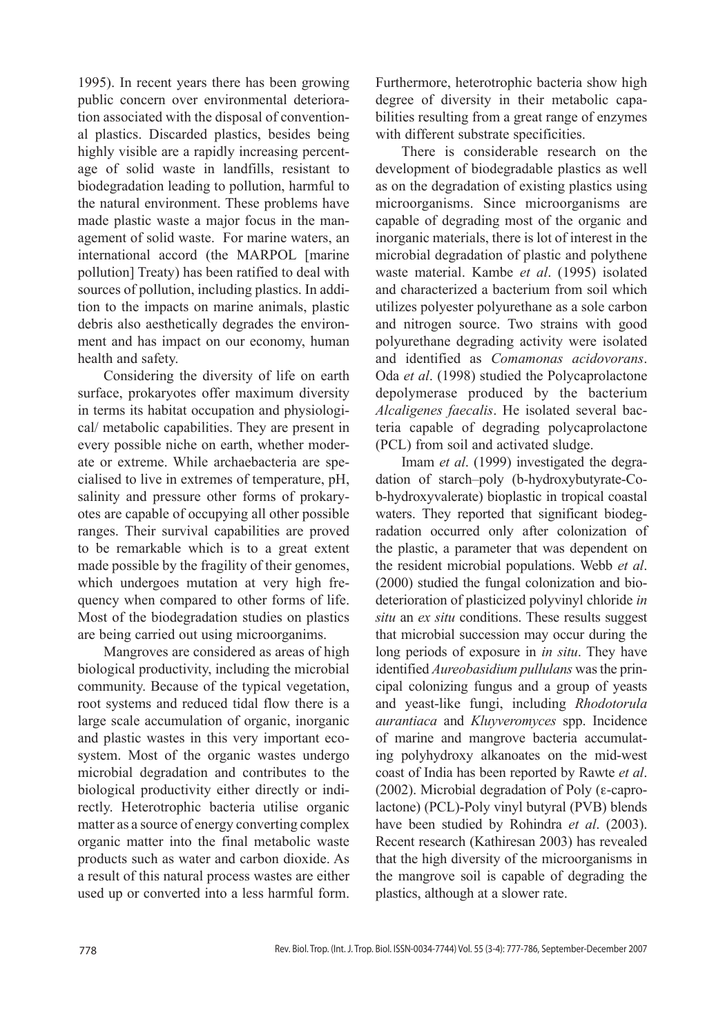1995). In recent years there has been growing public concern over environmental deterioration associated with the disposal of conventional plastics. Discarded plastics, besides being highly visible are a rapidly increasing percentage of solid waste in landfills, resistant to biodegradation leading to pollution, harmful to the natural environment. These problems have made plastic waste a major focus in the management of solid waste. For marine waters, an international accord (the MARPOL [marine pollution] Treaty) has been ratified to deal with sources of pollution, including plastics. In addition to the impacts on marine animals, plastic debris also aesthetically degrades the environment and has impact on our economy, human health and safety.

Considering the diversity of life on earth surface, prokaryotes offer maximum diversity in terms its habitat occupation and physiological/ metabolic capabilities. They are present in every possible niche on earth, whether moderate or extreme. While archaebacteria are specialised to live in extremes of temperature, pH, salinity and pressure other forms of prokaryotes are capable of occupying all other possible ranges. Their survival capabilities are proved to be remarkable which is to a great extent made possible by the fragility of their genomes, which undergoes mutation at very high frequency when compared to other forms of life. Most of the biodegradation studies on plastics are being carried out using microorganims.

Mangroves are considered as areas of high biological productivity, including the microbial community. Because of the typical vegetation, root systems and reduced tidal flow there is a large scale accumulation of organic, inorganic and plastic wastes in this very important ecosystem. Most of the organic wastes undergo microbial degradation and contributes to the biological productivity either directly or indirectly. Heterotrophic bacteria utilise organic matter as a source of energy converting complex organic matter into the final metabolic waste products such as water and carbon dioxide. As a result of this natural process wastes are either used up or converted into a less harmful form.

Furthermore, heterotrophic bacteria show high degree of diversity in their metabolic capabilities resulting from a great range of enzymes with different substrate specificities.

There is considerable research on the development of biodegradable plastics as well as on the degradation of existing plastics using microorganisms. Since microorganisms are capable of degrading most of the organic and inorganic materials, there is lot of interest in the microbial degradation of plastic and polythene waste material. Kambe *et al*. (1995) isolated and characterized a bacterium from soil which utilizes polyester polyurethane as a sole carbon and nitrogen source. Two strains with good polyurethane degrading activity were isolated and identified as *Comamonas acidovorans*. Oda *et al*. (1998) studied the Polycaprolactone depolymerase produced by the bacterium *Alcaligenes faecalis*. He isolated several bacteria capable of degrading polycaprolactone (PCL) from soil and activated sludge.

Imam *et al*. (1999) investigated the degradation of starch–poly (b-hydroxybutyrate-Cob-hydroxyvalerate) bioplastic in tropical coastal waters. They reported that significant biodegradation occurred only after colonization of the plastic, a parameter that was dependent on the resident microbial populations. Webb *et al*. (2000) studied the fungal colonization and biodeterioration of plasticized polyvinyl chloride *in situ* an *ex situ* conditions. These results suggest that microbial succession may occur during the long periods of exposure in *in situ*. They have identified *Aureobasidium pullulans* was the principal colonizing fungus and a group of yeasts and yeast-like fungi, including *Rhodotorula aurantiaca* and *Kluyveromyces* spp. Incidence of marine and mangrove bacteria accumulating polyhydroxy alkanoates on the mid-west coast of India has been reported by Rawte *et al*. (2002). Microbial degradation of Poly (ε-caprolactone) (PCL)-Poly vinyl butyral (PVB) blends have been studied by Rohindra et al. (2003). Recent research (Kathiresan 2003) has revealed that the high diversity of the microorganisms in the mangrove soil is capable of degrading the plastics, although at a slower rate.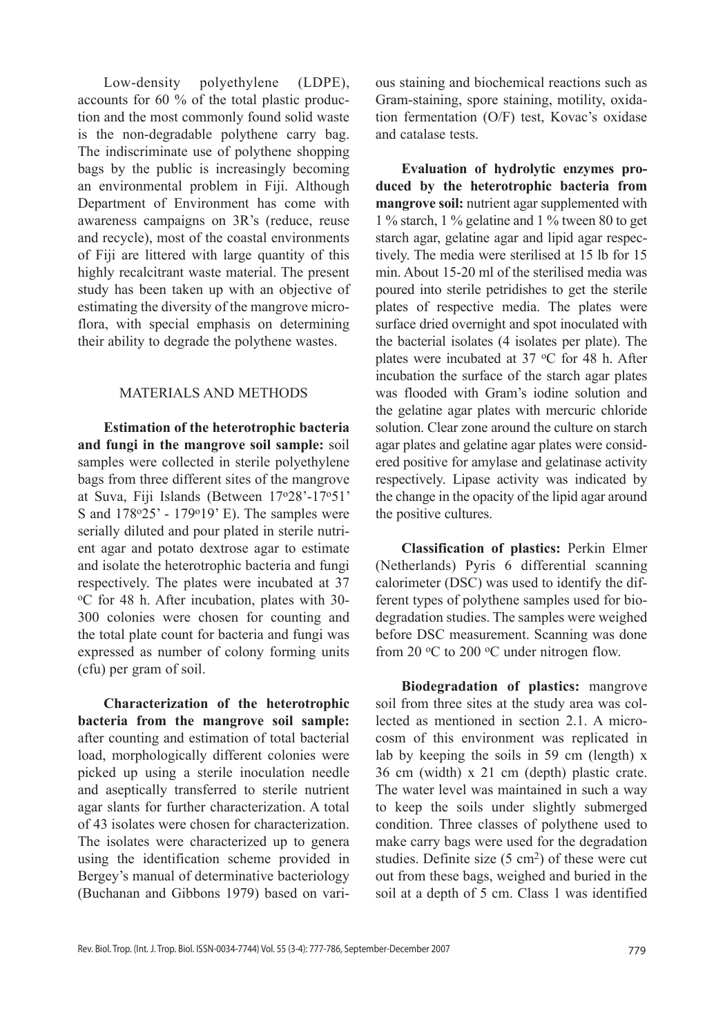Low-density polyethylene (LDPE), accounts for 60 % of the total plastic production and the most commonly found solid waste is the non-degradable polythene carry bag. The indiscriminate use of polythene shopping bags by the public is increasingly becoming an environmental problem in Fiji. Although Department of Environment has come with awareness campaigns on 3R's (reduce, reuse and recycle), most of the coastal environments of Fiji are littered with large quantity of this highly recalcitrant waste material. The present study has been taken up with an objective of estimating the diversity of the mangrove microflora, with special emphasis on determining their ability to degrade the polythene wastes.

# Materials and Methods

**Estimation of the heterotrophic bacteria and fungi in the mangrove soil sample:** soil samples were collected in sterile polyethylene bags from three different sites of the mangrove at Suva, Fiji Islands (Between 17o28'-17o51' S and 178°25' - 179°19' E). The samples were serially diluted and pour plated in sterile nutrient agar and potato dextrose agar to estimate and isolate the heterotrophic bacteria and fungi respectively. The plates were incubated at 37 oC for 48 h. After incubation, plates with 30- 300 colonies were chosen for counting and the total plate count for bacteria and fungi was expressed as number of colony forming units (cfu) per gram of soil.

**Characterization of the heterotrophic bacteria from the mangrove soil sample:** after counting and estimation of total bacterial load, morphologically different colonies were picked up using a sterile inoculation needle and aseptically transferred to sterile nutrient agar slants for further characterization. A total of 43 isolates were chosen for characterization. The isolates were characterized up to genera using the identification scheme provided in Bergey's manual of determinative bacteriology (Buchanan and Gibbons 1979) based on various staining and biochemical reactions such as Gram-staining, spore staining, motility, oxidation fermentation (O/F) test, Kovac's oxidase and catalase tests.

**Evaluation of hydrolytic enzymes produced by the heterotrophic bacteria from mangrove soil:** nutrient agar supplemented with 1 % starch, 1 % gelatine and 1 % tween 80 to get starch agar, gelatine agar and lipid agar respectively. The media were sterilised at 15 lb for 15 min. About 15-20 ml of the sterilised media was poured into sterile petridishes to get the sterile plates of respective media. The plates were surface dried overnight and spot inoculated with the bacterial isolates (4 isolates per plate). The plates were incubated at 37 °C for 48 h. After incubation the surface of the starch agar plates was flooded with Gram's iodine solution and the gelatine agar plates with mercuric chloride solution. Clear zone around the culture on starch agar plates and gelatine agar plates were considered positive for amylase and gelatinase activity respectively. Lipase activity was indicated by the change in the opacity of the lipid agar around the positive cultures.

**Classification of plastics:** Perkin Elmer (Netherlands) Pyris 6 differential scanning calorimeter (DSC) was used to identify the different types of polythene samples used for biodegradation studies. The samples were weighed before DSC measurement. Scanning was done from 20  $\rm{^{\circ}C}$  to 200  $\rm{^{\circ}C}$  under nitrogen flow.

**Biodegradation of plastics:** mangrove soil from three sites at the study area was collected as mentioned in section 2.1. A microcosm of this environment was replicated in lab by keeping the soils in 59 cm (length) x 36 cm (width) x 21 cm (depth) plastic crate. The water level was maintained in such a way to keep the soils under slightly submerged condition. Three classes of polythene used to make carry bags were used for the degradation studies. Definite size  $(5 \text{ cm}^2)$  of these were cut out from these bags, weighed and buried in the soil at a depth of 5 cm. Class 1 was identified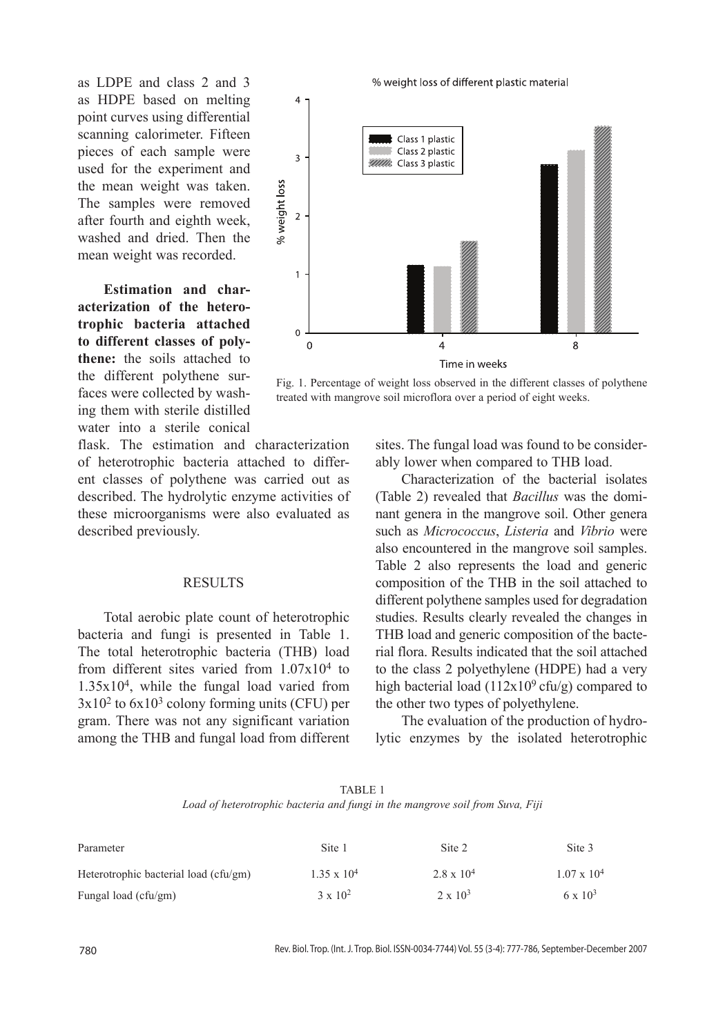as LDPE and class 2 and 3 as HDPE based on melting point curves using differential scanning calorimeter. Fifteen pieces of each sample were used for the experiment and the mean weight was taken. The samples were removed after fourth and eighth week, washed and dried. Then the mean weight was recorded.

**Estimation and characterization of the heterotrophic bacteria attached to different classes of polythene:** the soils attached to the different polythene surfaces were collected by washing them with sterile distilled water into a sterile conical



Fig. 1. Percentage of weight loss observed in the different classes of polythene treated with mangrove soil microflora over a period of eight weeks.

flask. The estimation and characterization of heterotrophic bacteria attached to different classes of polythene was carried out as described. The hydrolytic enzyme activities of these microorganisms were also evaluated as described previously.

### **RESULTS**

Total aerobic plate count of heterotrophic bacteria and fungi is presented in Table 1. The total heterotrophic bacteria (THB) load from different sites varied from 1.07x104 to 1.35x104, while the fungal load varied from  $3x10^2$  to  $6x10^3$  colony forming units (CFU) per gram. There was not any significant variation among the THB and fungal load from different

sites. The fungal load was found to be considerably lower when compared to THB load.

Characterization of the bacterial isolates (Table 2) revealed that *Bacillus* was the dominant genera in the mangrove soil. Other genera such as *Micrococcus*, *Listeria* and *Vibrio* were also encountered in the mangrove soil samples. Table 2 also represents the load and generic composition of the THB in the soil attached to different polythene samples used for degradation studies. Results clearly revealed the changes in THB load and generic composition of the bacterial flora. Results indicated that the soil attached to the class 2 polyethylene (HDPE) had a very high bacterial load  $(112x10<sup>9</sup>$  cfu/g) compared to the other two types of polyethylene.

The evaluation of the production of hydrolytic enzymes by the isolated heterotrophic

TABLE 1 *Load of heterotrophic bacteria and fungi in the mangrove soil from Suva, Fiji*

| Parameter                             | Site 1             | Site 2              | Site 3             |
|---------------------------------------|--------------------|---------------------|--------------------|
| Heterotrophic bacterial load (cfu/gm) | $1.35 \times 10^4$ | $2.8 \times 10^{4}$ | $1.07 \times 10^4$ |
| Fungal load (cfu/gm)                  | $3 \times 10^{2}$  | $2 \times 10^3$     | $6 \times 10^3$    |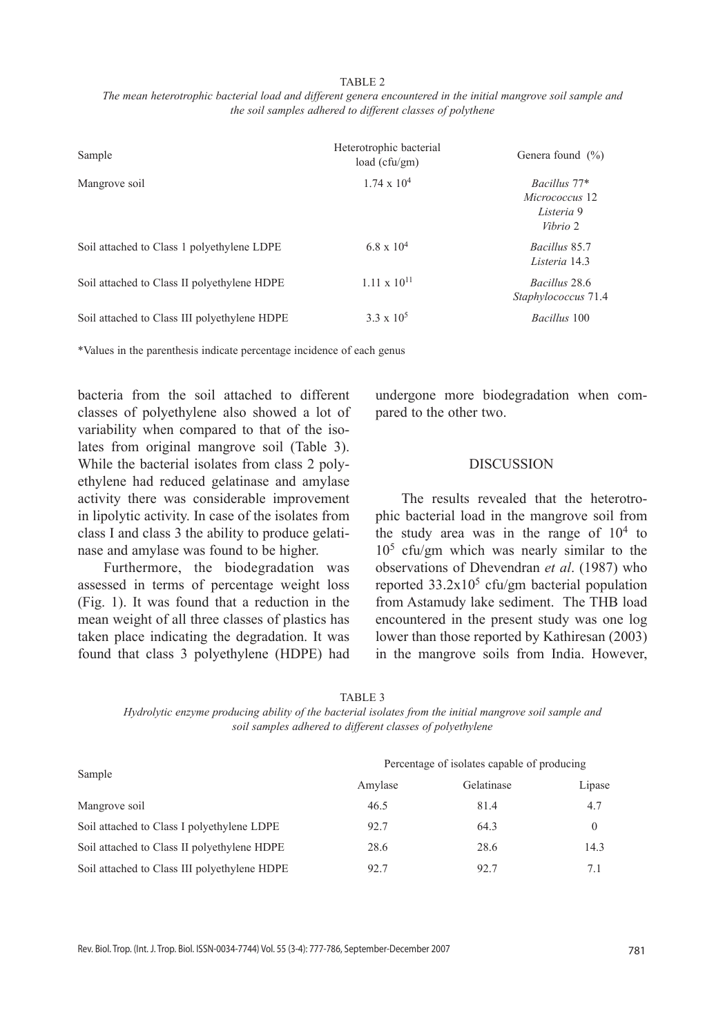#### TABLE 2

*The mean heterotrophic bacterial load and different genera encountered in the initial mangrove soil sample and the soil samples adhered to different classes of polythene*

| Sample                                       | Heterotrophic bacterial<br>load (cfu/gm) | Genera found $(\% )$                                     |
|----------------------------------------------|------------------------------------------|----------------------------------------------------------|
| Mangrove soil                                | $1.74 \times 10^{4}$                     | Bacillus 77*<br>Micrococcus 12<br>Listeria 9<br>Vibrio 2 |
| Soil attached to Class 1 polyethylene LDPE   | $6.8 \times 10^4$                        | Bacillus 85.7<br>Listeria 14.3                           |
| Soil attached to Class II polyethylene HDPE  | $1.11 \times 10^{11}$                    | Bacillus 28.6<br>Staphylococcus 71.4                     |
| Soil attached to Class III polyethylene HDPE | $3.3 \times 10^5$                        | Bacillus 100                                             |

\*Values in the parenthesis indicate percentage incidence of each genus

bacteria from the soil attached to different classes of polyethylene also showed a lot of variability when compared to that of the isolates from original mangrove soil (Table 3). While the bacterial isolates from class 2 polyethylene had reduced gelatinase and amylase activity there was considerable improvement in lipolytic activity. In case of the isolates from class I and class 3 the ability to produce gelatinase and amylase was found to be higher.

Furthermore, the biodegradation was assessed in terms of percentage weight loss (Fig. 1). It was found that a reduction in the mean weight of all three classes of plastics has taken place indicating the degradation. It was found that class 3 polyethylene (HDPE) had undergone more biodegradation when compared to the other two.

# **DISCUSSION**

The results revealed that the heterotrophic bacterial load in the mangrove soil from the study area was in the range of  $10<sup>4</sup>$  to  $10<sup>5</sup>$  cfu/gm which was nearly similar to the observations of Dhevendran *et al*. (1987) who reported  $33.2 \times 10^5$  cfu/gm bacterial population from Astamudy lake sediment. The THB load encountered in the present study was one log lower than those reported by Kathiresan (2003) in the mangrove soils from India. However,

|--|

*Hydrolytic enzyme producing ability of the bacterial isolates from the initial mangrove soil sample and soil samples adhered to different classes of polyethylene*

|                                              | Percentage of isolates capable of producing |            |          |  |
|----------------------------------------------|---------------------------------------------|------------|----------|--|
| Sample                                       | Amylase                                     | Gelatinase | Lipase   |  |
| Mangrove soil                                | 46.5                                        | 81.4       | 4.7      |  |
| Soil attached to Class I polyethylene LDPE   | 92.7                                        | 64.3       | $\Omega$ |  |
| Soil attached to Class II polyethylene HDPE  | 28.6                                        | 28.6       | 14.3     |  |
| Soil attached to Class III polyethylene HDPE | 92.7                                        | 92.7       | 7.1      |  |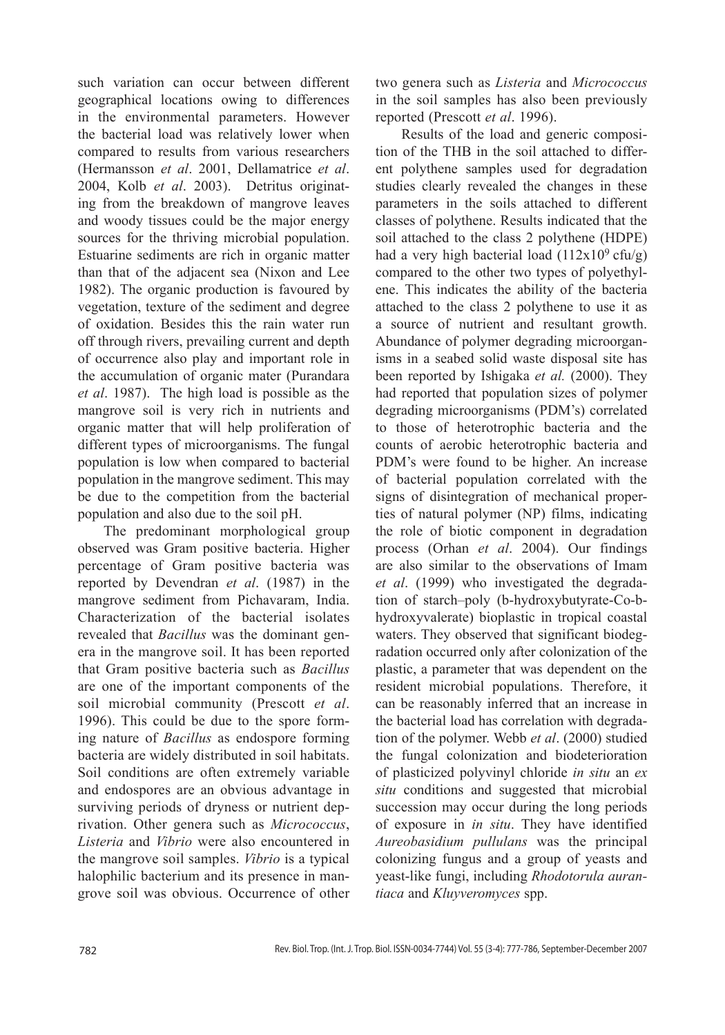such variation can occur between different geographical locations owing to differences in the environmental parameters. However the bacterial load was relatively lower when compared to results from various researchers (Hermansson *et al*. 2001, Dellamatrice *et al*. 2004, Kolb *et al*. 2003). Detritus originating from the breakdown of mangrove leaves and woody tissues could be the major energy sources for the thriving microbial population. Estuarine sediments are rich in organic matter than that of the adjacent sea (Nixon and Lee 1982). The organic production is favoured by vegetation, texture of the sediment and degree of oxidation. Besides this the rain water run off through rivers, prevailing current and depth of occurrence also play and important role in the accumulation of organic mater (Purandara *et al*. 1987). The high load is possible as the mangrove soil is very rich in nutrients and organic matter that will help proliferation of different types of microorganisms. The fungal population is low when compared to bacterial population in the mangrove sediment. This may be due to the competition from the bacterial population and also due to the soil pH.

The predominant morphological group observed was Gram positive bacteria. Higher percentage of Gram positive bacteria was reported by Devendran *et al*. (1987) in the mangrove sediment from Pichavaram, India. Characterization of the bacterial isolates revealed that *Bacillus* was the dominant genera in the mangrove soil. It has been reported that Gram positive bacteria such as *Bacillus* are one of the important components of the soil microbial community (Prescott *et al*. 1996). This could be due to the spore forming nature of *Bacillus* as endospore forming bacteria are widely distributed in soil habitats. Soil conditions are often extremely variable and endospores are an obvious advantage in surviving periods of dryness or nutrient deprivation. Other genera such as *Micrococcus*, *Listeria* and *Vibrio* were also encountered in the mangrove soil samples. *Vibrio* is a typical halophilic bacterium and its presence in mangrove soil was obvious. Occurrence of other

two genera such as *Listeria* and *Micrococcus* in the soil samples has also been previously reported (Prescott *et al*. 1996).

Results of the load and generic composition of the THB in the soil attached to different polythene samples used for degradation studies clearly revealed the changes in these parameters in the soils attached to different classes of polythene. Results indicated that the soil attached to the class 2 polythene (HDPE) had a very high bacterial load  $(112x10^9 \text{ cftu/g})$ compared to the other two types of polyethylene. This indicates the ability of the bacteria attached to the class 2 polythene to use it as a source of nutrient and resultant growth. Abundance of polymer degrading microorganisms in a seabed solid waste disposal site has been reported by Ishigaka *et al.* (2000). They had reported that population sizes of polymer degrading microorganisms (PDM's) correlated to those of heterotrophic bacteria and the counts of aerobic heterotrophic bacteria and PDM's were found to be higher. An increase of bacterial population correlated with the signs of disintegration of mechanical properties of natural polymer (NP) films, indicating the role of biotic component in degradation process (Orhan *et al*. 2004). Our findings are also similar to the observations of Imam *et al*. (1999) who investigated the degradation of starch–poly (b-hydroxybutyrate-Co-bhydroxyvalerate) bioplastic in tropical coastal waters. They observed that significant biodegradation occurred only after colonization of the plastic, a parameter that was dependent on the resident microbial populations. Therefore, it can be reasonably inferred that an increase in the bacterial load has correlation with degradation of the polymer. Webb *et al*. (2000) studied the fungal colonization and biodeterioration of plasticized polyvinyl chloride *in situ* an *ex situ* conditions and suggested that microbial succession may occur during the long periods of exposure in *in situ*. They have identified *Aureobasidium pullulans* was the principal colonizing fungus and a group of yeasts and yeast-like fungi, including *Rhodotorula aurantiaca* and *Kluyveromyces* spp.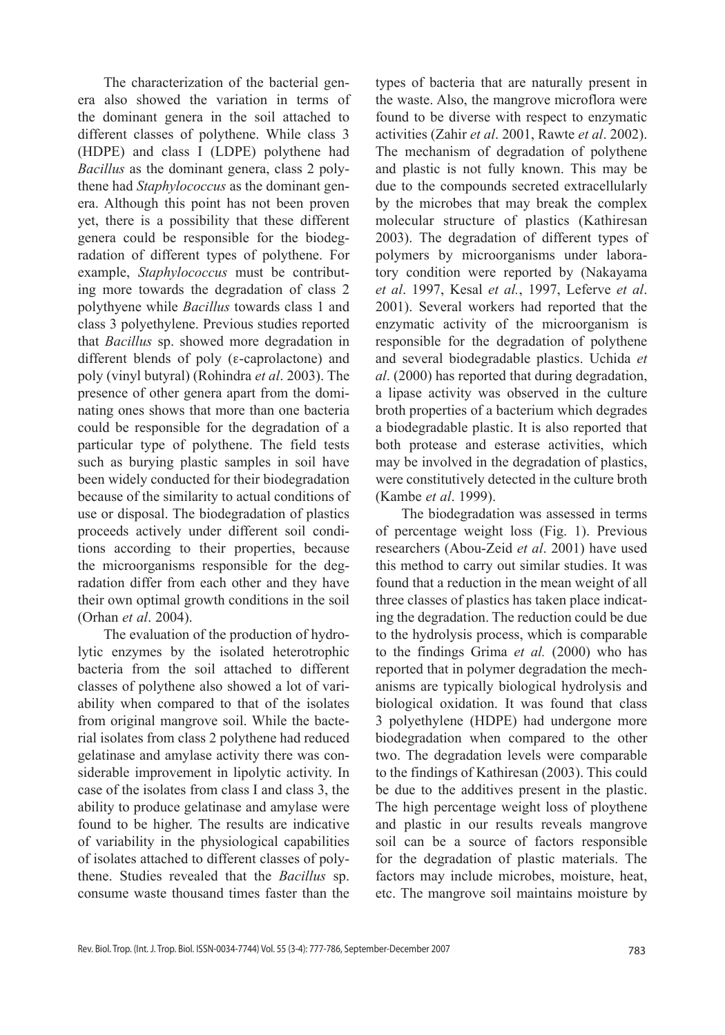The characterization of the bacterial genera also showed the variation in terms of the dominant genera in the soil attached to different classes of polythene. While class 3 (HDPE) and class I (LDPE) polythene had *Bacillus* as the dominant genera, class 2 polythene had *Staphylococcus* as the dominant genera. Although this point has not been proven yet, there is a possibility that these different genera could be responsible for the biodegradation of different types of polythene. For example, *Staphylococcus* must be contributing more towards the degradation of class 2 polythyene while *Bacillus* towards class 1 and class 3 polyethylene. Previous studies reported that *Bacillus* sp. showed more degradation in different blends of poly (ε-caprolactone) and poly (vinyl butyral) (Rohindra *et al*. 2003). The presence of other genera apart from the dominating ones shows that more than one bacteria could be responsible for the degradation of a particular type of polythene. The field tests such as burying plastic samples in soil have been widely conducted for their biodegradation because of the similarity to actual conditions of use or disposal. The biodegradation of plastics proceeds actively under different soil conditions according to their properties, because the microorganisms responsible for the degradation differ from each other and they have their own optimal growth conditions in the soil (Orhan *et al*. 2004).

The evaluation of the production of hydrolytic enzymes by the isolated heterotrophic bacteria from the soil attached to different classes of polythene also showed a lot of variability when compared to that of the isolates from original mangrove soil. While the bacterial isolates from class 2 polythene had reduced gelatinase and amylase activity there was considerable improvement in lipolytic activity. In case of the isolates from class I and class 3, the ability to produce gelatinase and amylase were found to be higher. The results are indicative of variability in the physiological capabilities of isolates attached to different classes of polythene. Studies revealed that the *Bacillus* sp. consume waste thousand times faster than the types of bacteria that are naturally present in the waste. Also, the mangrove microflora were found to be diverse with respect to enzymatic activities (Zahir *et al*. 2001, Rawte *et al*. 2002). The mechanism of degradation of polythene and plastic is not fully known. This may be due to the compounds secreted extracellularly by the microbes that may break the complex molecular structure of plastics (Kathiresan 2003). The degradation of different types of polymers by microorganisms under laboratory condition were reported by (Nakayama *et al*. 1997, Kesal *et al.*, 1997, Leferve *et al*. 2001). Several workers had reported that the enzymatic activity of the microorganism is responsible for the degradation of polythene and several biodegradable plastics. Uchida *et al*. (2000) has reported that during degradation, a lipase activity was observed in the culture broth properties of a bacterium which degrades a biodegradable plastic. It is also reported that both protease and esterase activities, which may be involved in the degradation of plastics, were constitutively detected in the culture broth (Kambe *et al*. 1999).

The biodegradation was assessed in terms of percentage weight loss (Fig. 1). Previous researchers (Abou-Zeid *et al*. 2001) have used this method to carry out similar studies. It was found that a reduction in the mean weight of all three classes of plastics has taken place indicating the degradation. The reduction could be due to the hydrolysis process, which is comparable to the findings Grima *et al.* (2000) who has reported that in polymer degradation the mechanisms are typically biological hydrolysis and biological oxidation. It was found that class 3 polyethylene (HDPE) had undergone more biodegradation when compared to the other two. The degradation levels were comparable to the findings of Kathiresan (2003). This could be due to the additives present in the plastic. The high percentage weight loss of ploythene and plastic in our results reveals mangrove soil can be a source of factors responsible for the degradation of plastic materials. The factors may include microbes, moisture, heat, etc. The mangrove soil maintains moisture by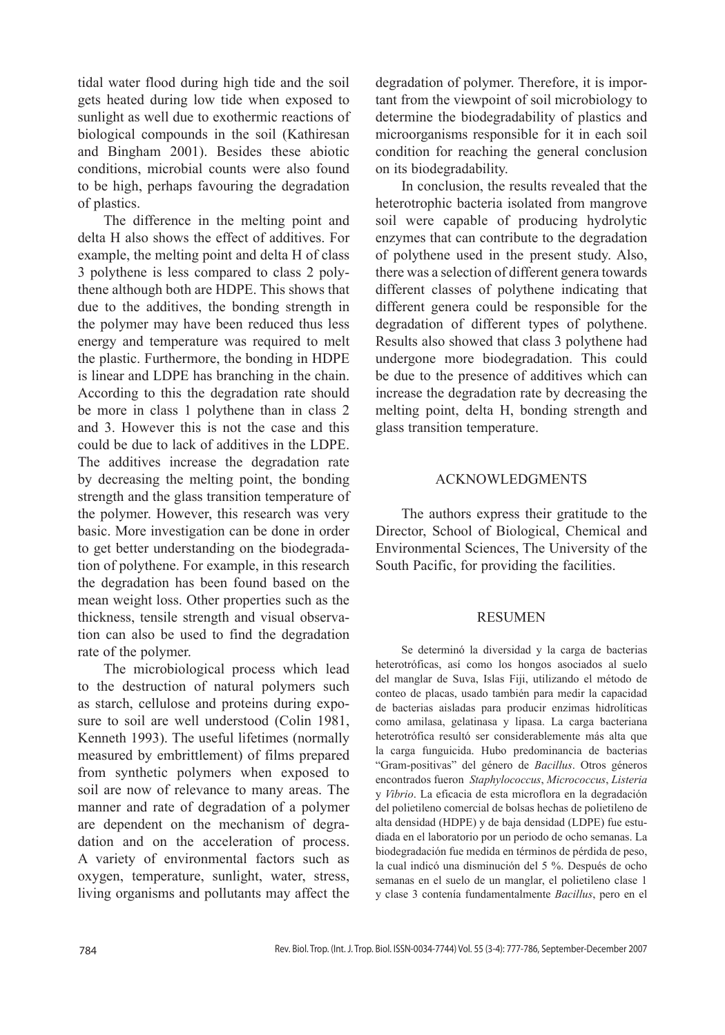tidal water flood during high tide and the soil gets heated during low tide when exposed to sunlight as well due to exothermic reactions of biological compounds in the soil (Kathiresan and Bingham 2001). Besides these abiotic conditions, microbial counts were also found to be high, perhaps favouring the degradation of plastics.

The difference in the melting point and delta H also shows the effect of additives. For example, the melting point and delta H of class 3 polythene is less compared to class 2 polythene although both are HDPE. This shows that due to the additives, the bonding strength in the polymer may have been reduced thus less energy and temperature was required to melt the plastic. Furthermore, the bonding in HDPE is linear and LDPE has branching in the chain. According to this the degradation rate should be more in class 1 polythene than in class 2 and 3. However this is not the case and this could be due to lack of additives in the LDPE. The additives increase the degradation rate by decreasing the melting point, the bonding strength and the glass transition temperature of the polymer. However, this research was very basic. More investigation can be done in order to get better understanding on the biodegradation of polythene. For example, in this research the degradation has been found based on the mean weight loss. Other properties such as the thickness, tensile strength and visual observation can also be used to find the degradation rate of the polymer.

The microbiological process which lead to the destruction of natural polymers such as starch, cellulose and proteins during exposure to soil are well understood (Colin 1981, Kenneth 1993). The useful lifetimes (normally measured by embrittlement) of films prepared from synthetic polymers when exposed to soil are now of relevance to many areas. The manner and rate of degradation of a polymer are dependent on the mechanism of degradation and on the acceleration of process. A variety of environmental factors such as oxygen, temperature, sunlight, water, stress, living organisms and pollutants may affect the

degradation of polymer. Therefore, it is important from the viewpoint of soil microbiology to determine the biodegradability of plastics and microorganisms responsible for it in each soil condition for reaching the general conclusion on its biodegradability.

In conclusion, the results revealed that the heterotrophic bacteria isolated from mangrove soil were capable of producing hydrolytic enzymes that can contribute to the degradation of polythene used in the present study. Also, there was a selection of different genera towards different classes of polythene indicating that different genera could be responsible for the degradation of different types of polythene. Results also showed that class 3 polythene had undergone more biodegradation. This could be due to the presence of additives which can increase the degradation rate by decreasing the melting point, delta H, bonding strength and glass transition temperature.

# Acknowledgments

The authors express their gratitude to the Director, School of Biological, Chemical and Environmental Sciences, The University of the South Pacific, for providing the facilities.

# **RESUMEN**

Se determinó la diversidad y la carga de bacterias heterotróficas, así como los hongos asociados al suelo del manglar de Suva, Islas Fiji, utilizando el método de conteo de placas, usado también para medir la capacidad de bacterias aisladas para producir enzimas hidrolíticas como amilasa, gelatinasa y lipasa. La carga bacteriana heterotrófica resultó ser considerablemente más alta que la carga funguicida. Hubo predominancia de bacterias "Gram-positivas" del género de *Bacillus*. Otros géneros encontrados fueron *Staphylococcus*, *Micrococcus*, *Listeria* y *Vibrio*. La eficacia de esta microflora en la degradación del polietileno comercial de bolsas hechas de polietileno de alta densidad (HDPE) y de baja densidad (LDPE) fue estudiada en el laboratorio por un periodo de ocho semanas. La biodegradación fue medida en términos de pérdida de peso, la cual indicó una disminución del 5 %. Después de ocho semanas en el suelo de un manglar, el polietileno clase 1 y clase 3 contenía fundamentalmente *Bacillus*, pero en el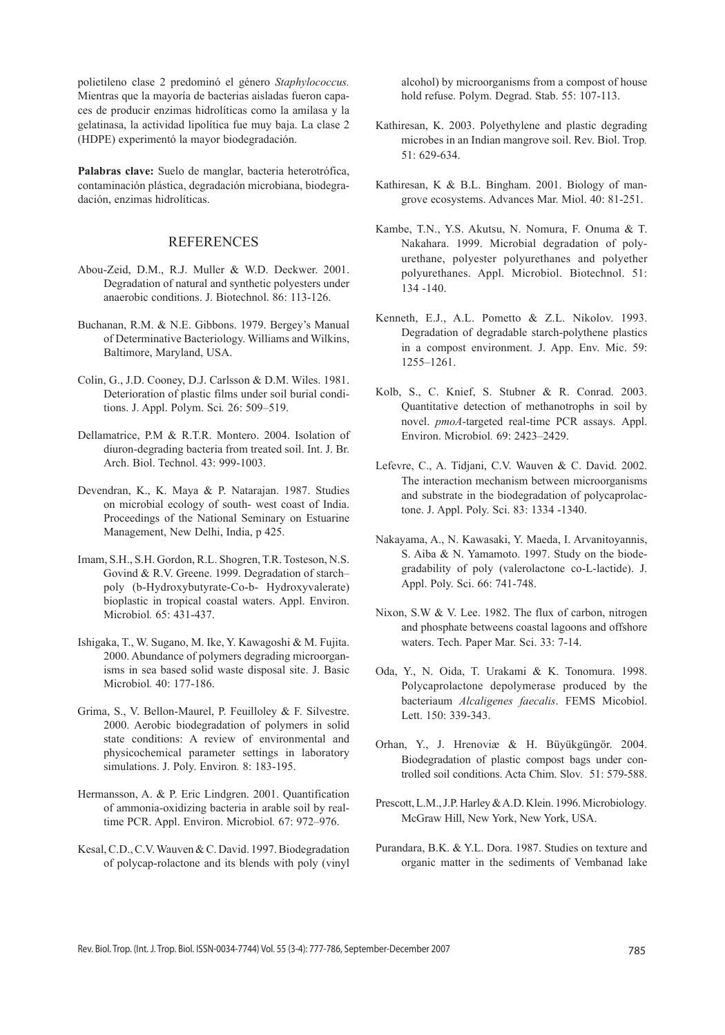polietileno clase 2 predominó el género *Staphylococcus.* Mientras que la mayoría de bacterias aisladas fueron capaces de producir enzimas hidrolíticas como la amilasa y la gelatinasa, la actividad lipolítica fue muy baja. La clase 2 (HDPE) experimentó la mayor biodegradación.

**Palabras clave:** Suelo de manglar, bacteria heterotrófica, contaminación plástica, degradación microbiana, biodegradación, enzimas hidrolíticas.

# **REFERENCES**

- Abou-Zeid, D.M., R.J. Muller & W.D. Deckwer. 2001. Degradation of natural and synthetic polyesters under anaerobic conditions. J. Biotechnol. 86: 113-126.
- Buchanan, R.M. & N.E. Gibbons. 1979. Bergey's Manual of Determinative Bacteriology. Williams and Wilkins, Baltimore, Maryland, USA.
- Colin, G., J.D. Cooney, D.J. Carlsson & D.M. Wiles. 1981. Deterioration of plastic films under soil burial conditions. J. Appl. Polym. Sci*.* 26: 509–519.
- Dellamatrice, P.M & R.T.R. Montero. 2004. Isolation of diuron-degrading bacteria from treated soil. Int. J. Br. Arch. Biol. Technol. 43: 999-1003.
- Devendran, K., K. Maya & P. Natarajan. 1987. Studies on microbial ecology of south- west coast of India. Proceedings of the National Seminary on Estuarine Management, New Delhi, India, p 425.
- Imam, S.H., S.H. Gordon, R.L. Shogren, T.R. Tosteson, N.S. Govind & R.V. Greene. 1999. Degradation of starch– poly (b-Hydroxybutyrate-Co-b- Hydroxyvalerate) bioplastic in tropical coastal waters. Appl. Environ. Microbiol*.* 65: 431-437.
- Ishigaka, T., W. Sugano, M. Ike, Y. Kawagoshi & M. Fujita. 2000. Abundance of polymers degrading microorganisms in sea based solid waste disposal site. J. Basic Microbiol*.* 40: 177-186.
- Grima, S., V. Bellon-Maurel, P. Feuilloley & F. Silvestre. 2000. Aerobic biodegradation of polymers in solid state conditions: A review of environmental and physicochemical parameter settings in laboratory simulations. J. Poly. Environ*.* 8: 183-195.
- Hermansson, A. & P. Eric Lindgren. 2001. Quantification of ammonia-oxidizing bacteria in arable soil by realtime PCR. Appl. Environ. Microbiol*.* 67: 972–976.
- Kesal, C.D., C.V. Wauven & C. David. 1997. Biodegradation of polycap-rolactone and its blends with poly (vinyl

alcohol) by microorganisms from a compost of house hold refuse. Polym. Degrad. Stab. 55: 107-113.

- Kathiresan, K. 2003. Polyethylene and plastic degrading microbes in an Indian mangrove soil. Rev. Biol. Trop*.* 51: 629-634.
- Kathiresan, K & B.L. Bingham. 2001. Biology of mangrove ecosystems. Advances Mar. Miol. 40: 81-251.
- Kambe, T.N., Y.S. Akutsu, N. Nomura, F. Onuma & T. Nakahara. 1999. Microbial degradation of polyurethane, polyester polyurethanes and polyether polyurethanes. Appl. Microbiol. Biotechnol. 51: 134 -140.
- Kenneth, E.J., A.L. Pometto & Z.L. Nikolov. 1993. Degradation of degradable starch-polythene plastics in a compost environment. J. App. Env. Mic. 59: 1255–1261.
- Kolb, S., C. Knief, S. Stubner & R. Conrad. 2003. Quantitative detection of methanotrophs in soil by novel. *pmoA*-targeted real-time PCR assays. Appl. Environ. Microbiol*.* 69: 2423–2429.
- Lefevre, C., A. Tidjani, C.V. Wauven & C. David. 2002. The interaction mechanism between microorganisms and substrate in the biodegradation of polycaprolactone. J. Appl. Poly. Sci. 83: 1334 -1340.
- Nakayama, A., N. Kawasaki, Y. Maeda, I. Arvanitoyannis, S. Aiba & N. Yamamoto. 1997. Study on the biodegradability of poly (valerolactone co-L-lactide). J. Appl. Poly. Sci. 66: 741-748.
- Nixon, S.W & V. Lee. 1982. The flux of carbon, nitrogen and phosphate betweens coastal lagoons and offshore waters. Tech. Paper Mar. Sci. 33: 7-14.
- Oda, Y., N. Oida, T. Urakami & K. Tonomura. 1998. Polycaprolactone depolymerase produced by the bacteriaum *Alcaligenes faecalis*. FEMS Micobiol. Lett. 150: 339-343.
- Orhan, Y., J. Hrenoviæ & H. Büyükgüngör. 2004. Biodegradation of plastic compost bags under controlled soil conditions. Acta Chim. Slov*.* 51: 579-588.
- Prescott, L.M., J.P. Harley & A.D. Klein. 1996. Microbiology*.*  McGraw Hill, New York, New York, USA.
- Purandara, B.K. & Y.L. Dora. 1987. Studies on texture and organic matter in the sediments of Vembanad lake